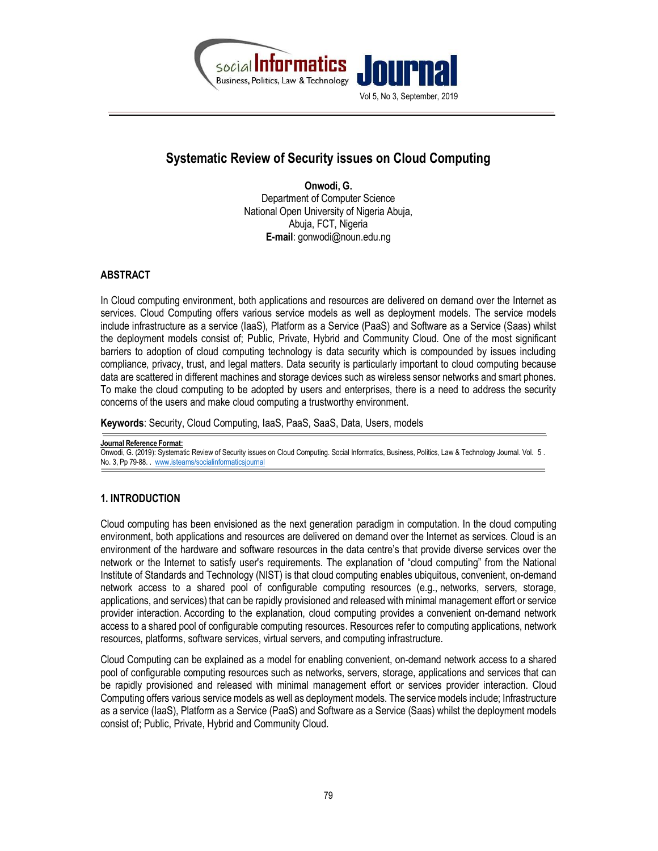

# Systematic Review of Security issues on Cloud Computing

Onwodi, G. Department of Computer Science National Open University of Nigeria Abuja, Abuja, FCT, Nigeria E-mail: gonwodi@noun.edu.ng

# ABSTRACT

In Cloud computing environment, both applications and resources are delivered on demand over the Internet as services. Cloud Computing offers various service models as well as deployment models. The service models include infrastructure as a service (IaaS), Platform as a Service (PaaS) and Software as a Service (Saas) whilst the deployment models consist of; Public, Private, Hybrid and Community Cloud. One of the most significant barriers to adoption of cloud computing technology is data security which is compounded by issues including compliance, privacy, trust, and legal matters. Data security is particularly important to cloud computing because data are scattered in different machines and storage devices such as wireless sensor networks and smart phones. To make the cloud computing to be adopted by users and enterprises, there is a need to address the security concerns of the users and make cloud computing a trustworthy environment.

Keywords: Security, Cloud Computing, IaaS, PaaS, SaaS, Data, Users, models

Journal Reference Format: Onwodi, G. (2019): Systematic Review of Security issues on Cloud Computing. Social Informatics, Business, Politics, Law & Technology Journal. Vol. 5 . No. 3, Pp 79-88. Www.isteams/socialinformaticsjournal

# 1. INTRODUCTION

Cloud computing has been envisioned as the next generation paradigm in computation. In the cloud computing environment, both applications and resources are delivered on demand over the Internet as services. Cloud is an environment of the hardware and software resources in the data centre's that provide diverse services over the network or the Internet to satisfy user's requirements. The explanation of "cloud computing" from the National Institute of Standards and Technology (NIST) is that cloud computing enables ubiquitous, convenient, on-demand network access to a shared pool of configurable computing resources (e.g., networks, servers, storage, applications, and services) that can be rapidly provisioned and released with minimal management effort or service provider interaction. According to the explanation, cloud computing provides a convenient on-demand network access to a shared pool of configurable computing resources. Resources refer to computing applications, network resources, platforms, software services, virtual servers, and computing infrastructure.

Cloud Computing can be explained as a model for enabling convenient, on-demand network access to a shared pool of configurable computing resources such as networks, servers, storage, applications and services that can be rapidly provisioned and released with minimal management effort or services provider interaction. Cloud Computing offers various service models as well as deployment models. The service models include; Infrastructure as a service (IaaS), Platform as a Service (PaaS) and Software as a Service (Saas) whilst the deployment models consist of; Public, Private, Hybrid and Community Cloud.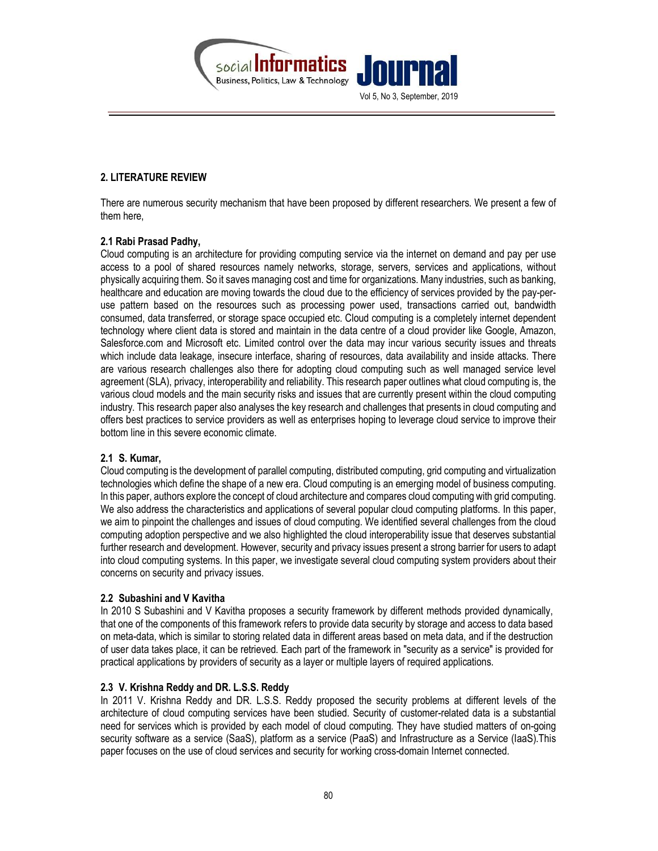

# 2. LITERATURE REVIEW

There are numerous security mechanism that have been proposed by different researchers. We present a few of them here,

## 2.1 Rabi Prasad Padhy,

Cloud computing is an architecture for providing computing service via the internet on demand and pay per use access to a pool of shared resources namely networks, storage, servers, services and applications, without physically acquiring them. So it saves managing cost and time for organizations. Many industries, such as banking, healthcare and education are moving towards the cloud due to the efficiency of services provided by the pay-peruse pattern based on the resources such as processing power used, transactions carried out, bandwidth consumed, data transferred, or storage space occupied etc. Cloud computing is a completely internet dependent technology where client data is stored and maintain in the data centre of a cloud provider like Google, Amazon, Salesforce.com and Microsoft etc. Limited control over the data may incur various security issues and threats which include data leakage, insecure interface, sharing of resources, data availability and inside attacks. There are various research challenges also there for adopting cloud computing such as well managed service level agreement (SLA), privacy, interoperability and reliability. This research paper outlines what cloud computing is, the various cloud models and the main security risks and issues that are currently present within the cloud computing industry. This research paper also analyses the key research and challenges that presents in cloud computing and offers best practices to service providers as well as enterprises hoping to leverage cloud service to improve their bottom line in this severe economic climate.

# 2.1 S. Kumar,

Cloud computing is the development of parallel computing, distributed computing, grid computing and virtualization technologies which define the shape of a new era. Cloud computing is an emerging model of business computing. In this paper, authors explore the concept of cloud architecture and compares cloud computing with grid computing. We also address the characteristics and applications of several popular cloud computing platforms. In this paper, we aim to pinpoint the challenges and issues of cloud computing. We identified several challenges from the cloud computing adoption perspective and we also highlighted the cloud interoperability issue that deserves substantial further research and development. However, security and privacy issues present a strong barrier for users to adapt into cloud computing systems. In this paper, we investigate several cloud computing system providers about their concerns on security and privacy issues.

#### 2.2 Subashini and V Kavitha

In 2010 S Subashini and V Kavitha proposes a security framework by different methods provided dynamically, that one of the components of this framework refers to provide data security by storage and access to data based on meta-data, which is similar to storing related data in different areas based on meta data, and if the destruction of user data takes place, it can be retrieved. Each part of the framework in "security as a service" is provided for practical applications by providers of security as a layer or multiple layers of required applications.

# 2.3 V. Krishna Reddy and DR. L.S.S. Reddy

In 2011 V. Krishna Reddy and DR. L.S.S. Reddy proposed the security problems at different levels of the architecture of cloud computing services have been studied. Security of customer-related data is a substantial need for services which is provided by each model of cloud computing. They have studied matters of on-going security software as a service (SaaS), platform as a service (PaaS) and Infrastructure as a Service (IaaS).This paper focuses on the use of cloud services and security for working cross-domain Internet connected.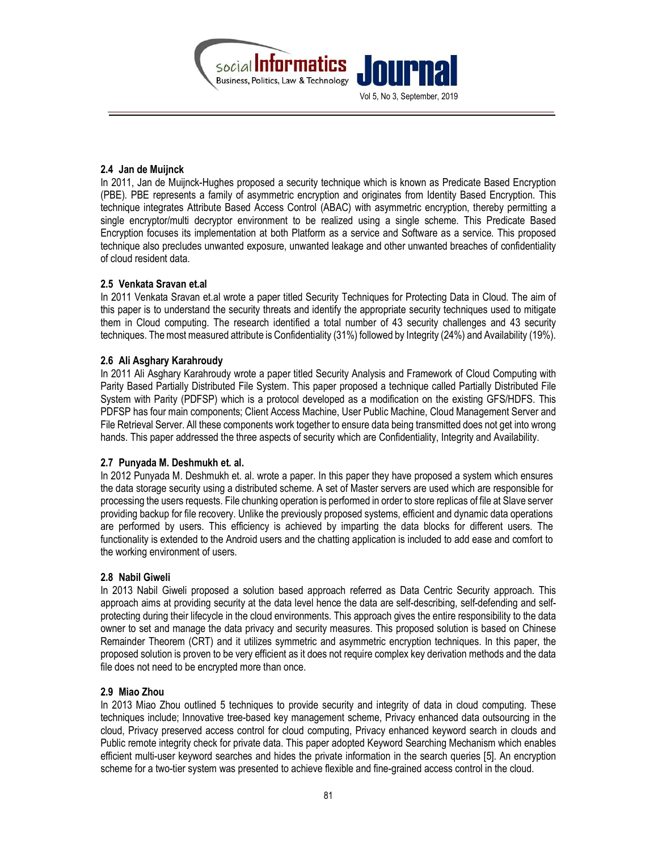

#### 2.4 Jan de Muijnck

In 2011, Jan de Muijnck-Hughes proposed a security technique which is known as Predicate Based Encryption (PBE). PBE represents a family of asymmetric encryption and originates from Identity Based Encryption. This technique integrates Attribute Based Access Control (ABAC) with asymmetric encryption, thereby permitting a single encryptor/multi decryptor environment to be realized using a single scheme. This Predicate Based Encryption focuses its implementation at both Platform as a service and Software as a service. This proposed technique also precludes unwanted exposure, unwanted leakage and other unwanted breaches of confidentiality of cloud resident data.

## 2.5 Venkata Sravan et.al

In 2011 Venkata Sravan et.al wrote a paper titled Security Techniques for Protecting Data in Cloud. The aim of this paper is to understand the security threats and identify the appropriate security techniques used to mitigate them in Cloud computing. The research identified a total number of 43 security challenges and 43 security techniques. The most measured attribute is Confidentiality (31%) followed by Integrity (24%) and Availability (19%).

## 2.6 Ali Asghary Karahroudy

In 2011 Ali Asghary Karahroudy wrote a paper titled Security Analysis and Framework of Cloud Computing with Parity Based Partially Distributed File System. This paper proposed a technique called Partially Distributed File System with Parity (PDFSP) which is a protocol developed as a modification on the existing GFS/HDFS. This PDFSP has four main components; Client Access Machine, User Public Machine, Cloud Management Server and File Retrieval Server. All these components work together to ensure data being transmitted does not get into wrong hands. This paper addressed the three aspects of security which are Confidentiality, Integrity and Availability.

#### 2.7 Punyada M. Deshmukh et. al.

In 2012 Punyada M. Deshmukh et. al. wrote a paper. In this paper they have proposed a system which ensures the data storage security using a distributed scheme. A set of Master servers are used which are responsible for processing the users requests. File chunking operation is performed in order to store replicas of file at Slave server providing backup for file recovery. Unlike the previously proposed systems, efficient and dynamic data operations are performed by users. This efficiency is achieved by imparting the data blocks for different users. The functionality is extended to the Android users and the chatting application is included to add ease and comfort to the working environment of users.

# 2.8 Nabil Giweli

In 2013 Nabil Giweli proposed a solution based approach referred as Data Centric Security approach. This approach aims at providing security at the data level hence the data are self-describing, self-defending and selfprotecting during their lifecycle in the cloud environments. This approach gives the entire responsibility to the data owner to set and manage the data privacy and security measures. This proposed solution is based on Chinese Remainder Theorem (CRT) and it utilizes symmetric and asymmetric encryption techniques. In this paper, the proposed solution is proven to be very efficient as it does not require complex key derivation methods and the data file does not need to be encrypted more than once.

#### 2.9 Miao Zhou

In 2013 Miao Zhou outlined 5 techniques to provide security and integrity of data in cloud computing. These techniques include; Innovative tree-based key management scheme, Privacy enhanced data outsourcing in the cloud, Privacy preserved access control for cloud computing, Privacy enhanced keyword search in clouds and Public remote integrity check for private data. This paper adopted Keyword Searching Mechanism which enables efficient multi-user keyword searches and hides the private information in the search queries [5]. An encryption scheme for a two-tier system was presented to achieve flexible and fine-grained access control in the cloud.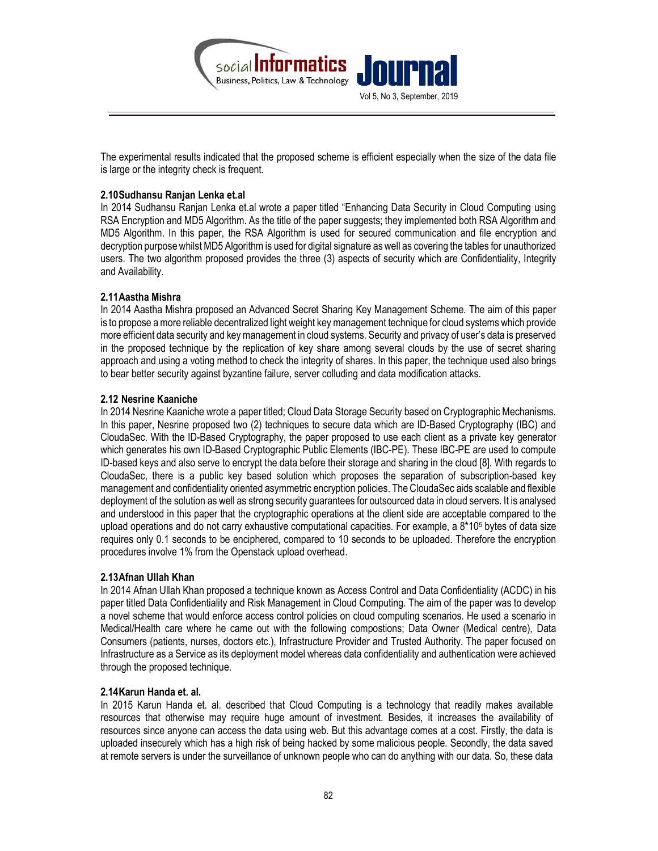

The experimental results indicated that the proposed scheme is efficient especially when the size of the data file is large or the integrity check is frequent.

## 2.10Sudhansu Ranjan Lenka et.al

In 2014 Sudhansu Ranjan Lenka et.al wrote a paper titled "Enhancing Data Security in Cloud Computing using RSA Encryption and MD5 Algorithm. As the title of the paper suggests; they implemented both RSA Algorithm and MD5 Algorithm. In this paper, the RSA Algorithm is used for secured communication and file encryption and decryption purpose whilst MD5 Algorithm is used for digital signature as well as covering the tables for unauthorized users. The two algorithm proposed provides the three (3) aspects of security which are Confidentiality, Integrity and Availability.

## 2.11Aastha Mishra

In 2014 Aastha Mishra proposed an Advanced Secret Sharing Key Management Scheme. The aim of this paper is to propose a more reliable decentralized light weight key management technique for cloud systems which provide more efficient data security and key management in cloud systems. Security and privacy of user's data is preserved in the proposed technique by the replication of key share among several clouds by the use of secret sharing approach and using a voting method to check the integrity of shares. In this paper, the technique used also brings to bear better security against byzantine failure, server colluding and data modification attacks.

## 2.12 Nesrine Kaaniche

In 2014 Nesrine Kaaniche wrote a paper titled; Cloud Data Storage Security based on Cryptographic Mechanisms. In this paper, Nesrine proposed two (2) techniques to secure data which are ID-Based Cryptography (IBC) and CloudaSec. With the ID-Based Cryptography, the paper proposed to use each client as a private key generator which generates his own ID-Based Cryptographic Public Elements (IBC-PE). These IBC-PE are used to compute ID-based keys and also serve to encrypt the data before their storage and sharing in the cloud [8]. With regards to CloudaSec, there is a public key based solution which proposes the separation of subscription-based key management and confidentiality oriented asymmetric encryption policies. The CloudaSec aids scalable and flexible deployment of the solution as well as strong security guarantees for outsourced data in cloud servers. It is analysed and understood in this paper that the cryptographic operations at the client side are acceptable compared to the upload operations and do not carry exhaustive computational capacities. For example, a  $8*10<sup>5</sup>$  bytes of data size requires only 0.1 seconds to be enciphered, compared to 10 seconds to be uploaded. Therefore the encryption procedures involve 1% from the Openstack upload overhead.

#### 2.13Afnan Ullah Khan

In 2014 Afnan Ullah Khan proposed a technique known as Access Control and Data Confidentiality (ACDC) in his paper titled Data Confidentiality and Risk Management in Cloud Computing. The aim of the paper was to develop a novel scheme that would enforce access control policies on cloud computing scenarios. He used a scenario in Medical/Health care where he came out with the following compostions; Data Owner (Medical centre), Data Consumers (patients, nurses, doctors etc.), Infrastructure Provider and Trusted Authority. The paper focused on Infrastructure as a Service as its deployment model whereas data confidentiality and authentication were achieved through the proposed technique.

# 2.14Karun Handa et. al.

In 2015 Karun Handa et. al. described that Cloud Computing is a technology that readily makes available resources that otherwise may require huge amount of investment. Besides, it increases the availability of resources since anyone can access the data using web. But this advantage comes at a cost. Firstly, the data is uploaded insecurely which has a high risk of being hacked by some malicious people. Secondly, the data saved at remote servers is under the surveillance of unknown people who can do anything with our data. So, these data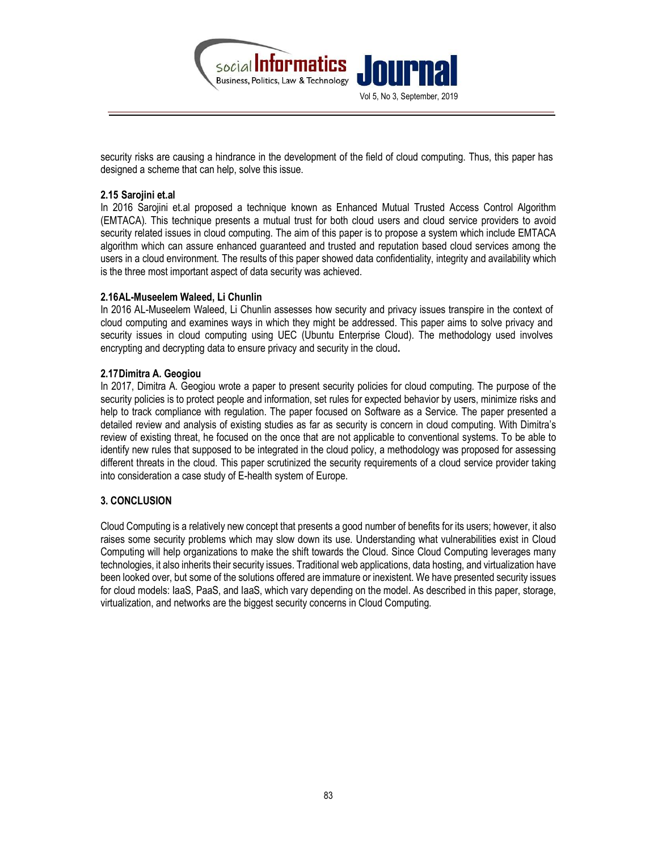

security risks are causing a hindrance in the development of the field of cloud computing. Thus, this paper has designed a scheme that can help, solve this issue.

## 2.15 Sarojini et.al

In 2016 Sarojini et.al proposed a technique known as Enhanced Mutual Trusted Access Control Algorithm (EMTACA). This technique presents a mutual trust for both cloud users and cloud service providers to avoid security related issues in cloud computing. The aim of this paper is to propose a system which include EMTACA algorithm which can assure enhanced guaranteed and trusted and reputation based cloud services among the users in a cloud environment. The results of this paper showed data confidentiality, integrity and availability which is the three most important aspect of data security was achieved.

## 2.16AL-Museelem Waleed, Li Chunlin

In 2016 AL-Museelem Waleed, Li Chunlin assesses how security and privacy issues transpire in the context of cloud computing and examines ways in which they might be addressed. This paper aims to solve privacy and security issues in cloud computing using UEC (Ubuntu Enterprise Cloud). The methodology used involves encrypting and decrypting data to ensure privacy and security in the cloud.

## 2.17Dimitra A. Geogiou

In 2017, Dimitra A. Geogiou wrote a paper to present security policies for cloud computing. The purpose of the security policies is to protect people and information, set rules for expected behavior by users, minimize risks and help to track compliance with regulation. The paper focused on Software as a Service. The paper presented a detailed review and analysis of existing studies as far as security is concern in cloud computing. With Dimitra's review of existing threat, he focused on the once that are not applicable to conventional systems. To be able to identify new rules that supposed to be integrated in the cloud policy, a methodology was proposed for assessing different threats in the cloud. This paper scrutinized the security requirements of a cloud service provider taking into consideration a case study of E-health system of Europe.

#### 3. CONCLUSION

Cloud Computing is a relatively new concept that presents a good number of benefits for its users; however, it also raises some security problems which may slow down its use. Understanding what vulnerabilities exist in Cloud Computing will help organizations to make the shift towards the Cloud. Since Cloud Computing leverages many technologies, it also inherits their security issues. Traditional web applications, data hosting, and virtualization have been looked over, but some of the solutions offered are immature or inexistent. We have presented security issues for cloud models: IaaS, PaaS, and IaaS, which vary depending on the model. As described in this paper, storage, virtualization, and networks are the biggest security concerns in Cloud Computing.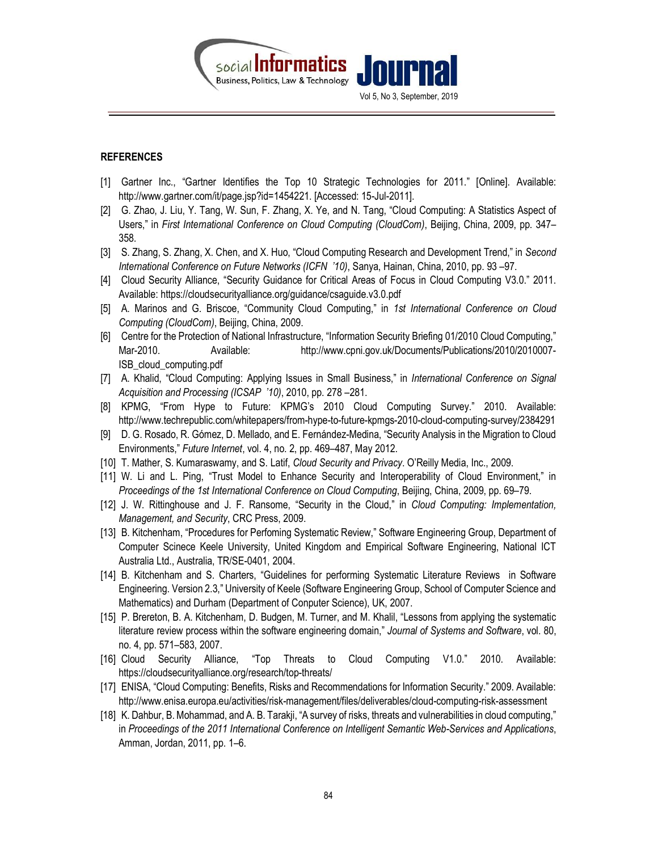

## **REFERENCES**

- [1] Gartner Inc., "Gartner Identifies the Top 10 Strategic Technologies for 2011." [Online]. Available: http://www.gartner.com/it/page.jsp?id=1454221. [Accessed: 15-Jul-2011].
- [2] G. Zhao, J. Liu, Y. Tang, W. Sun, F. Zhang, X. Ye, and N. Tang, "Cloud Computing: A Statistics Aspect of Users," in First International Conference on Cloud Computing (CloudCom), Beijing, China, 2009, pp. 347– 358.
- [3] S. Zhang, S. Zhang, X. Chen, and X. Huo, "Cloud Computing Research and Development Trend," in Second International Conference on Future Networks (ICFN '10), Sanya, Hainan, China, 2010, pp. 93 –97.
- [4] Cloud Security Alliance, "Security Guidance for Critical Areas of Focus in Cloud Computing V3.0." 2011. Available: https://cloudsecurityalliance.org/guidance/csaguide.v3.0.pdf
- [5] A. Marinos and G. Briscoe, "Community Cloud Computing," in 1st International Conference on Cloud Computing (CloudCom), Beijing, China, 2009.
- [6] Centre for the Protection of National Infrastructure, "Information Security Briefing 01/2010 Cloud Computing," Mar-2010. Available: http://www.cpni.gov.uk/Documents/Publications/2010/2010007- ISB\_cloud\_computing.pdf
- [7] A. Khalid, "Cloud Computing: Applying Issues in Small Business," in International Conference on Signal Acquisition and Processing (ICSAP '10), 2010, pp. 278 –281.
- [8] KPMG, "From Hype to Future: KPMG's 2010 Cloud Computing Survey." 2010. Available: http://www.techrepublic.com/whitepapers/from-hype-to-future-kpmgs-2010-cloud-computing-survey/2384291
- [9] D. G. Rosado, R. Gómez, D. Mellado, and E. Fernández-Medina, "Security Analysis in the Migration to Cloud Environments," Future Internet, vol. 4, no. 2, pp. 469–487, May 2012.
- [10] T. Mather, S. Kumaraswamy, and S. Latif, Cloud Security and Privacy. O'Reilly Media, Inc., 2009.
- [11] W. Li and L. Ping, "Trust Model to Enhance Security and Interoperability of Cloud Environment," in Proceedings of the 1st International Conference on Cloud Computing, Beijing, China, 2009, pp. 69–79.
- [12] J. W. Rittinghouse and J. F. Ransome, "Security in the Cloud," in Cloud Computing: Implementation, Management, and Security, CRC Press, 2009.
- [13] B. Kitchenham, "Procedures for Perfoming Systematic Review," Software Engineering Group, Department of Computer Scinece Keele University, United Kingdom and Empirical Software Engineering, National ICT Australia Ltd., Australia, TR/SE-0401, 2004.
- [14] B. Kitchenham and S. Charters, "Guidelines for performing Systematic Literature Reviews in Software Engineering. Version 2.3," University of Keele (Software Engineering Group, School of Computer Science and Mathematics) and Durham (Department of Conputer Science), UK, 2007.
- [15] P. Brereton, B. A. Kitchenham, D. Budgen, M. Turner, and M. Khalil, "Lessons from applying the systematic literature review process within the software engineering domain," Journal of Systems and Software, vol. 80, no. 4, pp. 571–583, 2007.
- [16] Cloud Security Alliance, "Top Threats to Cloud Computing V1.0." 2010. Available: https://cloudsecurityalliance.org/research/top-threats/
- [17] ENISA, "Cloud Computing: Benefits, Risks and Recommendations for Information Security." 2009. Available: http://www.enisa.europa.eu/activities/risk-management/files/deliverables/cloud-computing-risk-assessment
- [18] K. Dahbur, B. Mohammad, and A. B. Tarakji, "A survey of risks, threats and vulnerabilities in cloud computing," in Proceedings of the 2011 International Conference on Intelligent Semantic Web-Services and Applications, Amman, Jordan, 2011, pp. 1–6.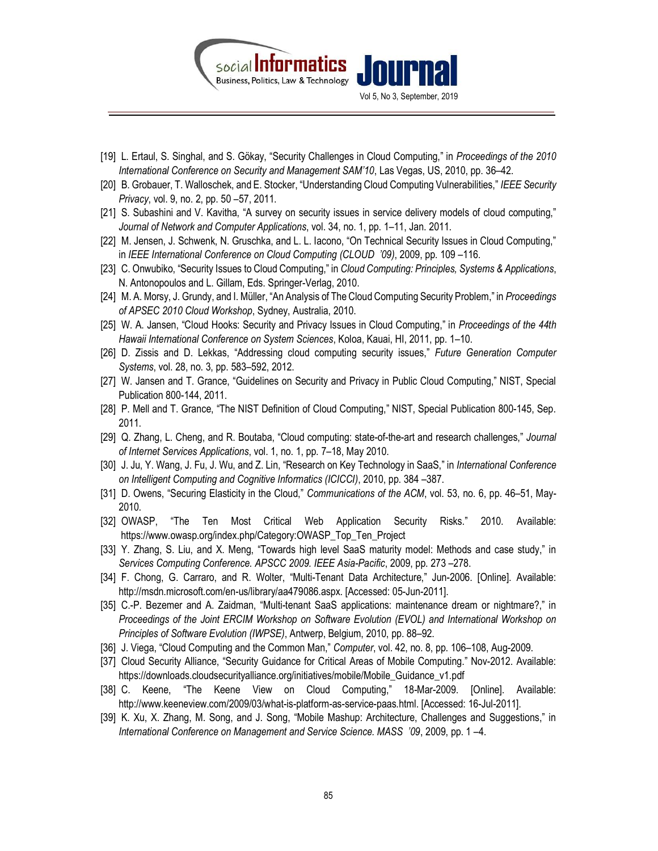

- [19] L. Ertaul, S. Singhal, and S. Gökay, "Security Challenges in Cloud Computing," in Proceedings of the 2010 International Conference on Security and Management SAM'10, Las Vegas, US, 2010, pp. 36–42.
- [20] B. Grobauer, T. Walloschek, and E. Stocker, "Understanding Cloud Computing Vulnerabilities," IEEE Security Privacy, vol. 9, no. 2, pp. 50 –57, 2011.
- [21] S. Subashini and V. Kavitha, "A survey on security issues in service delivery models of cloud computing," Journal of Network and Computer Applications, vol. 34, no. 1, pp. 1–11, Jan. 2011.
- [22] M. Jensen, J. Schwenk, N. Gruschka, and L. L. Iacono, "On Technical Security Issues in Cloud Computing," in IEEE International Conference on Cloud Computing (CLOUD '09), 2009, pp. 109 –116.
- [23] C. Onwubiko, "Security Issues to Cloud Computing," in Cloud Computing: Principles, Systems & Applications, N. Antonopoulos and L. Gillam, Eds. Springer-Verlag, 2010.
- [24] M. A. Morsy, J. Grundy, and I. Müller, "An Analysis of The Cloud Computing Security Problem," in Proceedings of APSEC 2010 Cloud Workshop, Sydney, Australia, 2010.
- [25] W. A. Jansen, "Cloud Hooks: Security and Privacy Issues in Cloud Computing," in Proceedings of the 44th Hawaii International Conference on System Sciences, Koloa, Kauai, HI, 2011, pp. 1–10.
- [26] D. Zissis and D. Lekkas, "Addressing cloud computing security issues," Future Generation Computer Systems, vol. 28, no. 3, pp. 583–592, 2012.
- [27] W. Jansen and T. Grance, "Guidelines on Security and Privacy in Public Cloud Computing," NIST, Special Publication 800-144, 2011.
- [28] P. Mell and T. Grance, "The NIST Definition of Cloud Computing," NIST, Special Publication 800-145, Sep. 2011.
- [29] Q. Zhang, L. Cheng, and R. Boutaba, "Cloud computing: state-of-the-art and research challenges," Journal of Internet Services Applications, vol. 1, no. 1, pp. 7–18, May 2010.
- [30] J. Ju, Y. Wang, J. Fu, J. Wu, and Z. Lin, "Research on Key Technology in SaaS," in International Conference on Intelligent Computing and Cognitive Informatics (ICICCI), 2010, pp. 384 –387.
- [31] D. Owens, "Securing Elasticity in the Cloud," Communications of the ACM, vol. 53, no. 6, pp. 46–51, May-2010.
- [32] OWASP, "The Ten Most Critical Web Application Security Risks." 2010. Available: https://www.owasp.org/index.php/Category:OWASP\_Top\_Ten\_Project
- [33] Y. Zhang, S. Liu, and X. Meng, "Towards high level SaaS maturity model: Methods and case study," in Services Computing Conference. APSCC 2009. IEEE Asia-Pacific, 2009, pp. 273 –278.
- [34] F. Chong, G. Carraro, and R. Wolter, "Multi-Tenant Data Architecture," Jun-2006. [Online]. Available: http://msdn.microsoft.com/en-us/library/aa479086.aspx. [Accessed: 05-Jun-2011].
- [35] C.-P. Bezemer and A. Zaidman, "Multi-tenant SaaS applications: maintenance dream or nightmare?," in Proceedings of the Joint ERCIM Workshop on Software Evolution (EVOL) and International Workshop on Principles of Software Evolution (IWPSE), Antwerp, Belgium, 2010, pp. 88–92.
- [36] J. Viega, "Cloud Computing and the Common Man," Computer, vol. 42, no. 8, pp. 106–108, Aug-2009.
- [37] Cloud Security Alliance, "Security Guidance for Critical Areas of Mobile Computing." Nov-2012. Available: https://downloads.cloudsecurityalliance.org/initiatives/mobile/Mobile\_Guidance\_v1.pdf
- [38] C. Keene, "The Keene View on Cloud Computing," 18-Mar-2009. [Online]. Available: http://www.keeneview.com/2009/03/what-is-platform-as-service-paas.html. [Accessed: 16-Jul-2011].
- [39] K. Xu, X. Zhang, M. Song, and J. Song, "Mobile Mashup: Architecture, Challenges and Suggestions," in International Conference on Management and Service Science. MASS '09, 2009, pp. 1 –4.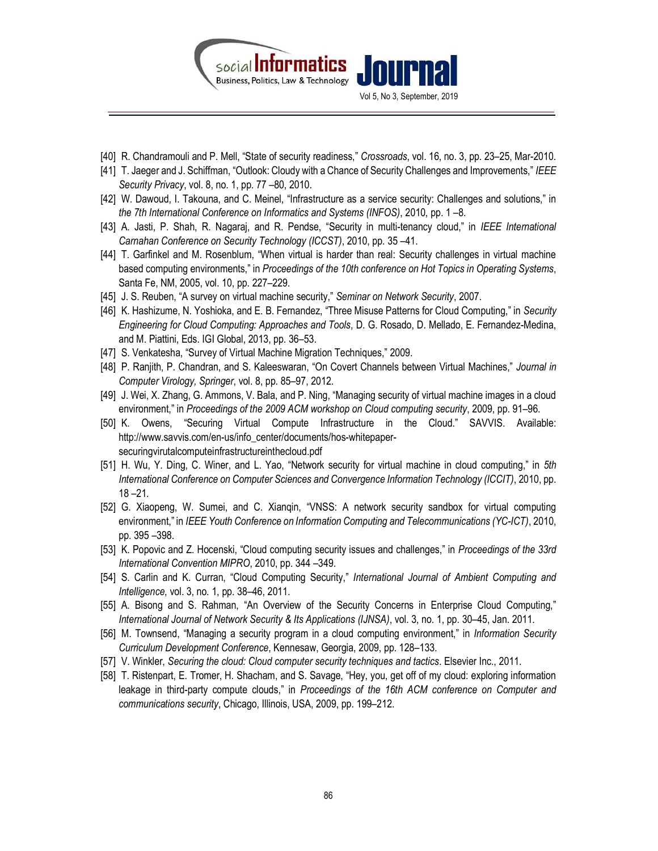

- [40] R. Chandramouli and P. Mell, "State of security readiness," Crossroads, vol. 16, no. 3, pp. 23–25, Mar-2010.
- [41] T. Jaeger and J. Schiffman, "Outlook: Cloudy with a Chance of Security Challenges and Improvements," IEEE Security Privacy, vol. 8, no. 1, pp. 77 –80, 2010.
- [42] W. Dawoud, I. Takouna, and C. Meinel, "Infrastructure as a service security: Challenges and solutions," in the 7th International Conference on Informatics and Systems (INFOS), 2010, pp. 1 –8.
- [43] A. Jasti, P. Shah, R. Nagaraj, and R. Pendse, "Security in multi-tenancy cloud," in IEEE International Carnahan Conference on Security Technology (ICCST), 2010, pp. 35 –41.
- [44] T. Garfinkel and M. Rosenblum, "When virtual is harder than real: Security challenges in virtual machine based computing environments," in Proceedings of the 10th conference on Hot Topics in Operating Systems, Santa Fe, NM, 2005, vol. 10, pp. 227–229.
- [45] J. S. Reuben, "A survey on virtual machine security," Seminar on Network Security, 2007.
- [46] K. Hashizume, N. Yoshioka, and E. B. Fernandez, "Three Misuse Patterns for Cloud Computing," in Security Engineering for Cloud Computing: Approaches and Tools, D. G. Rosado, D. Mellado, E. Fernandez-Medina, and M. Piattini, Eds. IGI Global, 2013, pp. 36–53.
- [47] S. Venkatesha, "Survey of Virtual Machine Migration Techniques," 2009.
- [48] P. Ranjith, P. Chandran, and S. Kaleeswaran, "On Covert Channels between Virtual Machines," Journal in Computer Virology, Springer, vol. 8, pp. 85–97, 2012.
- [49] J. Wei, X. Zhang, G. Ammons, V. Bala, and P. Ning, "Managing security of virtual machine images in a cloud environment," in Proceedings of the 2009 ACM workshop on Cloud computing security, 2009, pp. 91–96.
- [50] K. Owens, "Securing Virtual Compute Infrastructure in the Cloud." SAVVIS. Available: http://www.savvis.com/en-us/info\_center/documents/hos-whitepapersecuringvirutalcomputeinfrastructureinthecloud.pdf
- [51] H. Wu, Y. Ding, C. Winer, and L. Yao, "Network security for virtual machine in cloud computing," in 5th International Conference on Computer Sciences and Convergence Information Technology (ICCIT), 2010, pp. 18 –21.
- [52] G. Xiaopeng, W. Sumei, and C. Xianqin, "VNSS: A network security sandbox for virtual computing environment," in IEEE Youth Conference on Information Computing and Telecommunications (YC-ICT), 2010, pp. 395 –398.
- [53] K. Popovic and Z. Hocenski, "Cloud computing security issues and challenges," in Proceedings of the 33rd International Convention MIPRO, 2010, pp. 344 –349.
- [54] S. Carlin and K. Curran, "Cloud Computing Security," International Journal of Ambient Computing and Intelligence, vol. 3, no. 1, pp. 38–46, 2011.
- [55] A. Bisong and S. Rahman, "An Overview of the Security Concerns in Enterprise Cloud Computing," International Journal of Network Security & Its Applications (IJNSA), vol. 3, no. 1, pp. 30–45, Jan. 2011.
- [56] M. Townsend, "Managing a security program in a cloud computing environment," in Information Security Curriculum Development Conference, Kennesaw, Georgia, 2009, pp. 128–133.
- [57] V. Winkler, Securing the cloud: Cloud computer security techniques and tactics. Elsevier Inc., 2011.
- [58] T. Ristenpart, E. Tromer, H. Shacham, and S. Savage, "Hey, you, get off of my cloud: exploring information leakage in third-party compute clouds," in Proceedings of the 16th ACM conference on Computer and communications security, Chicago, Illinois, USA, 2009, pp. 199–212.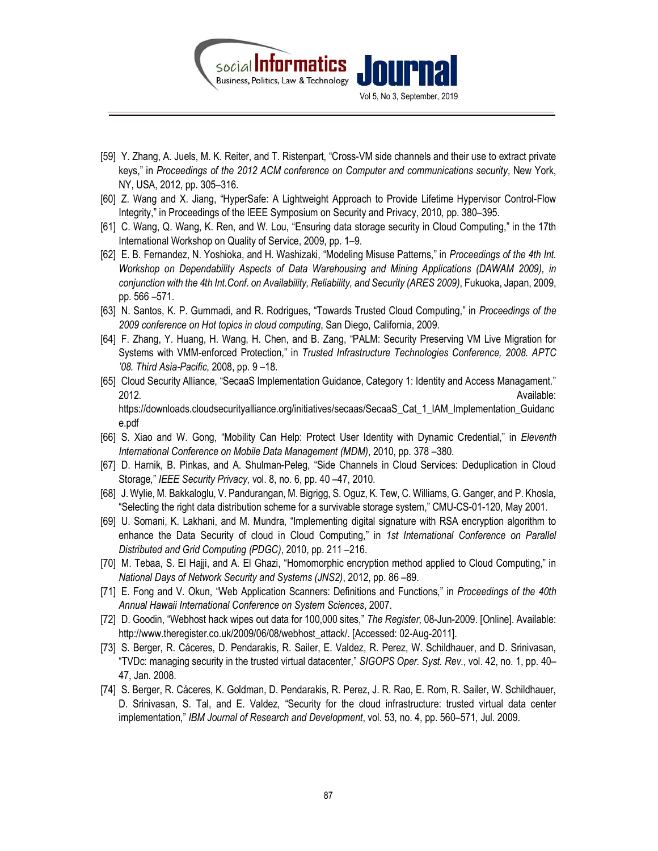

- [59] Y. Zhang, A. Juels, M. K. Reiter, and T. Ristenpart, "Cross-VM side channels and their use to extract private keys," in Proceedings of the 2012 ACM conference on Computer and communications security, New York, NY, USA, 2012, pp. 305–316.
- [60] Z. Wang and X. Jiang, "HyperSafe: A Lightweight Approach to Provide Lifetime Hypervisor Control-Flow Integrity," in Proceedings of the IEEE Symposium on Security and Privacy, 2010, pp. 380–395.
- [61] C. Wang, Q. Wang, K. Ren, and W. Lou, "Ensuring data storage security in Cloud Computing," in the 17th International Workshop on Quality of Service, 2009, pp. 1–9.
- [62] E. B. Fernandez, N. Yoshioka, and H. Washizaki, "Modeling Misuse Patterns," in Proceedings of the 4th Int. Workshop on Dependability Aspects of Data Warehousing and Mining Applications (DAWAM 2009), in conjunction with the 4th Int.Conf. on Availability, Reliability, and Security (ARES 2009), Fukuoka, Japan, 2009, pp. 566 –571.
- [63] N. Santos, K. P. Gummadi, and R. Rodrigues, "Towards Trusted Cloud Computing," in Proceedings of the 2009 conference on Hot topics in cloud computing, San Diego, California, 2009.
- [64] F. Zhang, Y. Huang, H. Wang, H. Chen, and B. Zang, "PALM: Security Preserving VM Live Migration for Systems with VMM-enforced Protection," in Trusted Infrastructure Technologies Conference, 2008. APTC '08. Third Asia-Pacific, 2008, pp. 9 –18.
- [65] Cloud Security Alliance, "SecaaS Implementation Guidance, Category 1: Identity and Access Managament." 2012. Available: https://downloads.cloudsecurityalliance.org/initiatives/secaas/SecaaS\_Cat\_1\_IAM\_Implementation\_Guidanc e.pdf
- [66] S. Xiao and W. Gong, "Mobility Can Help: Protect User Identity with Dynamic Credential," in Eleventh International Conference on Mobile Data Management (MDM), 2010, pp. 378 –380.
- [67] D. Harnik, B. Pinkas, and A. Shulman-Peleg, "Side Channels in Cloud Services: Deduplication in Cloud Storage," IEEE Security Privacy, vol. 8, no. 6, pp. 40 –47, 2010.
- [68] J. Wylie, M. Bakkaloglu, V. Pandurangan, M. Bigrigg, S. Oguz, K. Tew, C. Williams, G. Ganger, and P. Khosla, "Selecting the right data distribution scheme for a survivable storage system," CMU-CS-01-120, May 2001.
- [69] U. Somani, K. Lakhani, and M. Mundra, "Implementing digital signature with RSA encryption algorithm to enhance the Data Security of cloud in Cloud Computing," in 1st International Conference on Parallel Distributed and Grid Computing (PDGC), 2010, pp. 211 –216.
- [70] M. Tebaa, S. El Hajji, and A. El Ghazi, "Homomorphic encryption method applied to Cloud Computing," in National Days of Network Security and Systems (JNS2), 2012, pp. 86 –89.
- [71] E. Fong and V. Okun, "Web Application Scanners: Definitions and Functions," in Proceedings of the 40th Annual Hawaii International Conference on System Sciences, 2007.
- [72] D. Goodin, "Webhost hack wipes out data for 100,000 sites," The Register, 08-Jun-2009. [Online]. Available: http://www.theregister.co.uk/2009/06/08/webhost\_attack/. [Accessed: 02-Aug-2011].
- [73] S. Berger, R. Cáceres, D. Pendarakis, R. Sailer, E. Valdez, R. Perez, W. Schildhauer, and D. Srinivasan, "TVDc: managing security in the trusted virtual datacenter," SIGOPS Oper. Syst. Rev., vol. 42, no. 1, pp. 40– 47, Jan. 2008.
- [74] S. Berger, R. Cáceres, K. Goldman, D. Pendarakis, R. Perez, J. R. Rao, E. Rom, R. Sailer, W. Schildhauer, D. Srinivasan, S. Tal, and E. Valdez, "Security for the cloud infrastructure: trusted virtual data center implementation," IBM Journal of Research and Development, vol. 53, no. 4, pp. 560–571, Jul. 2009.